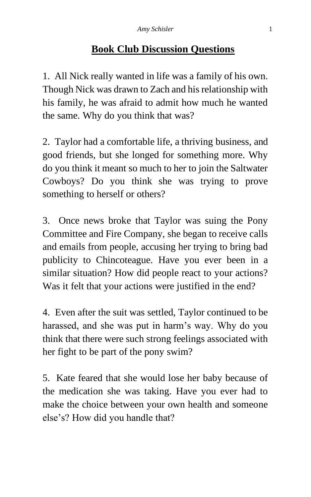## **Book Club Discussion Questions**

1. All Nick really wanted in life was a family of his own. Though Nick was drawn to Zach and his relationship with his family, he was afraid to admit how much he wanted the same. Why do you think that was?

2. Taylor had a comfortable life, a thriving business, and good friends, but she longed for something more. Why do you think it meant so much to her to join the Saltwater Cowboys? Do you think she was trying to prove something to herself or others?

3. Once news broke that Taylor was suing the Pony Committee and Fire Company, she began to receive calls and emails from people, accusing her trying to bring bad publicity to Chincoteague. Have you ever been in a similar situation? How did people react to your actions? Was it felt that your actions were justified in the end?

4. Even after the suit was settled, Taylor continued to be harassed, and she was put in harm's way. Why do you think that there were such strong feelings associated with her fight to be part of the pony swim?

5. Kate feared that she would lose her baby because of the medication she was taking. Have you ever had to make the choice between your own health and someone else's? How did you handle that?